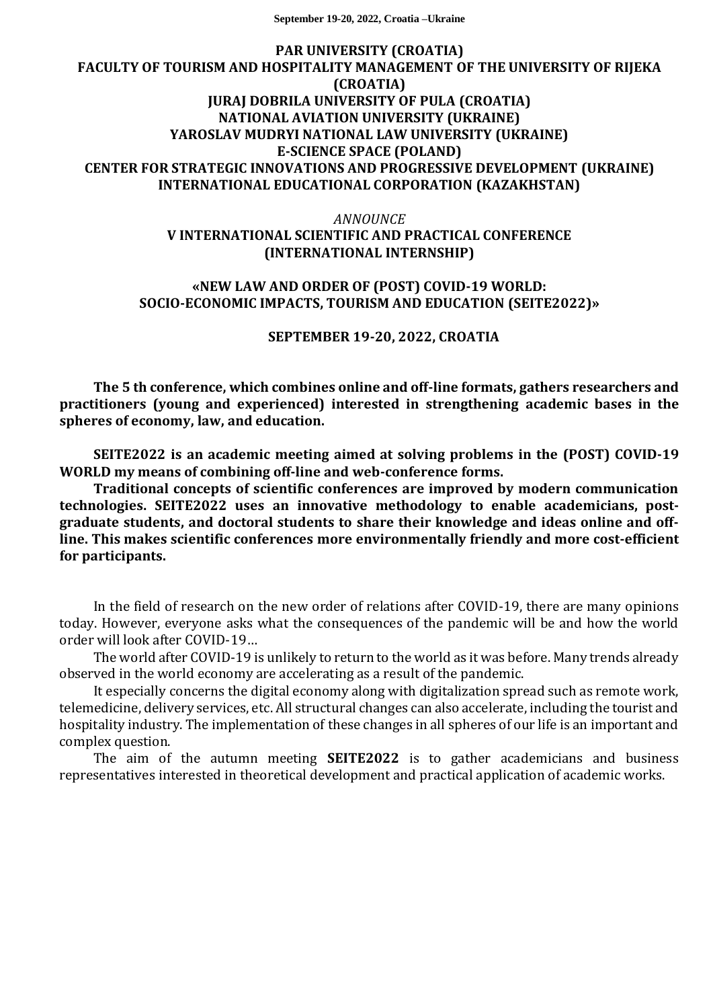**September 19-20, 2022, Croatia –Ukraine**

### **PAR UNIVERSITY (CROATIA) FACULTY OF TOURISM AND HOSPITALITY MANAGEMENT OF THE UNIVERSITY OF RIJEKA (CROATIA) JURAJ DOBRILA UNIVERSITY OF PULA (CROATIA) NATIONAL AVIATION UNIVERSITY (UKRAINE) YAROSLAV MUDRYI NATIONAL LAW UNIVERSITY (UKRAINE) E-SCIENCE SPACE (POLAND) CENTER FOR STRATEGIC INNOVATIONS AND PROGRESSIVE DEVELOPMENT (UKRAINE) INTERNATIONAL EDUCATIONAL CORPORATION (KAZAKHSTAN)**

*ANNOUNCE*

# **V INTERNATIONAL SCIENTIFIC AND PRACTICAL CONFERENCE (INTERNATIONAL INTERNSHIP)**

### **«NEW LAW AND ORDER OF (POST) COVID-19 WORLD: SOCIO-ECONOMIC IMPACTS, TOURISM AND EDUCATION (SEITE2022)»**

**SEPTEMBER 19-20, 2022, CROATIA**

**The 5 th conference, which combines online and off-line formats, gathers researchers and practitioners (young and experienced) interested in strengthening academic bases in the spheres of economy, law, and education.**

**SEITE2022 is an academic meeting aimed at solving problems in the (POST) COVID-19 WORLD my means of combining off-line and web-conference forms.**

**Traditional concepts of scientific conferences are improved by modern communication technologies. SEITE2022 uses an innovative methodology to enable academicians, postgraduate students, and doctoral students to share their knowledge and ideas online and offline. This makes scientific conferences more environmentally friendly and more cost-efficient for participants.** 

In the field of research on the new order of relations after COVID-19, there are many opinions today. However, everyone asks what the consequences of the pandemic will be and how the world order will look after COVID-19…

The world after COVID-19 is unlikely to return to the world as it was before. Many trends already observed in the world economy are accelerating as a result of the pandemic.

It especially concerns the digital economy along with digitalization spread such as remote work, telemedicine, delivery services, etc. All structural changes can also accelerate, including the tourist and hospitality industry. The implementation of these changes in all spheres of our life is an important and complex question.

The aim of the autumn meeting **SEITE2022** is to gather academicians and business representatives interested in theoretical development and practical application of academic works.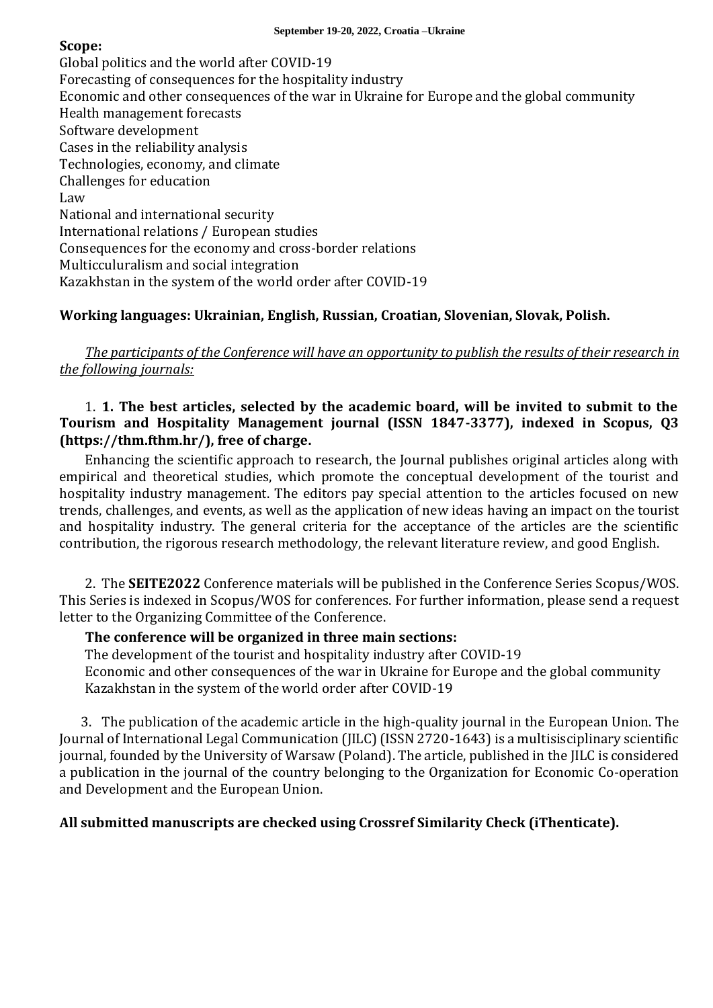### **Scope:**

Global politics and the world after COVID-19 Forecasting of consequences for the hospitality industry Economic and other consequences of the war in Ukraine for Europe and the global community Health management forecasts Software development Cases in the reliability analysis Technologies, economy, and climate Challenges for education Law National and international security International relations / European studies Consequences for the economy and cross-border relations Multicculuralism and social integration Kazakhstan in the system of the world order after COVID-19

# **Working languages: Ukrainian, English, Russian, Croatian, Slovenian, Slovak, Polish.**

*The participants of the Conference will have an opportunity to publish the results of their research in the following journals:*

## 1. **1. The best articles, selected by the academic board, will be invited to submit to the Tourism and Hospitality Management journal (ISSN 1847-3377), indexed in Scopus, Q3 (https://thm.fthm.hr/), free of charge.**

Enhancing the scientific approach to research, the Journal publishes original articles along with empirical and theoretical studies, which promote the conceptual development of the tourist and hospitality industry management. The editors pay special attention to the articles focused on new trends, challenges, and events, as well as the application of new ideas having an impact on the tourist and hospitality industry. The general criteria for the acceptance of the articles are the scientific contribution, the rigorous research methodology, the relevant literature review, and good English.

2. The **SEITE2022** Conference materials will be published in the Conference Series Scopus/WOS. This Series is indexed in Scopus/WOS for conferences. For further information, please send a request letter to the Organizing Committee of the Conference.

# **The conference will be organized in three main sections:**

The development of the tourist and hospitality industry after COVID-19 Economic and other consequences of the war in Ukraine for Europe and the global community Kazakhstan in the system of the world order after COVID-19

3. The publication of the academic article in the high-quality journal in the European Union. The Journal of International Legal Communication (JILC) (ISSN 2720-1643) is a multisisciplinary scientific journal, founded by the University of Warsaw (Poland). The article, published in the JILC is considered a publication in the journal of the country belonging to the Organization for Economic Co-operation and Development and the European Union.

# **All submitted manuscripts are checked using Crossref Similarity Check (iThenticate).**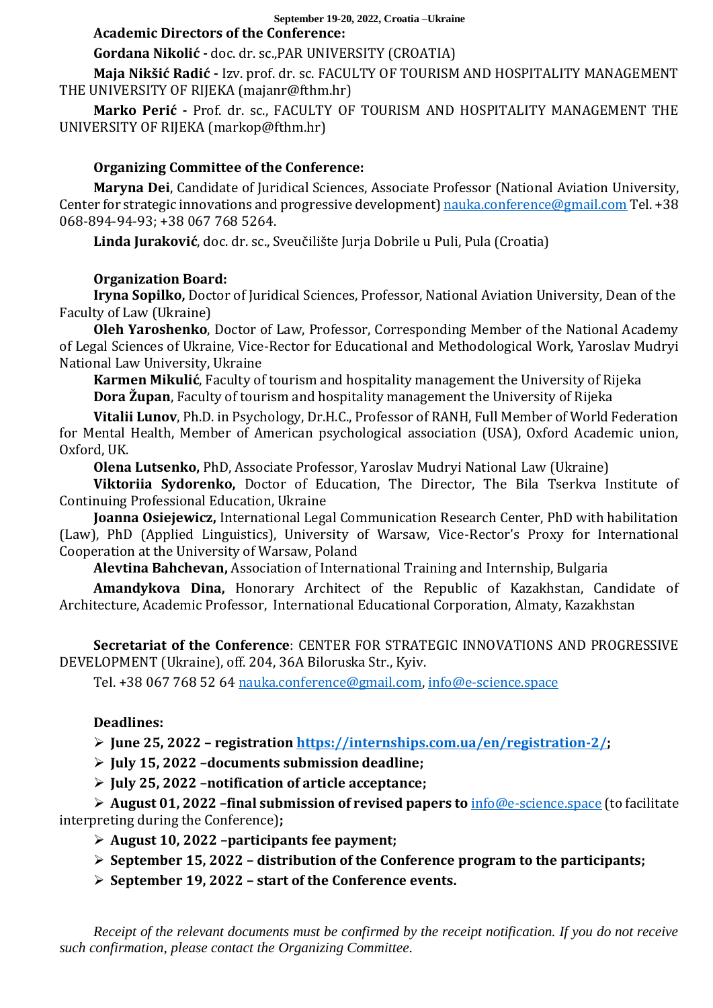#### **September 19-20, 2022, Croatia –Ukraine Academic Directors of the Conference:**

# **Gordana Nikolić -** doc. dr. sc.,PAR UNIVERSITY (CROATIA)

**Maja Nikšić Radić -** Izv. prof. dr. sc. FACULTY OF TOURISM AND HOSPITALITY MANAGEMENT THE UNIVERSITY OF RIJEKA (majanr@fthm.hr)

**Marko Perić -** Prof. dr. sc., FACULTY OF TOURISM AND HOSPITALITY MANAGEMENT THE UNIVERSITY OF RIJEKA (markop@fthm.hr)

## **Organizing Committee of the Conference:**

**Maryna Dei**, Candidate of Juridical Sciences, Associate Professor (National Aviation University, Center for strategic innovations and progressive development[\) nauka.conference@gmail.com](mailto:nauka.conference@gmail.com) Tel. +38 068-894-94-93; +38 067 768 5264.

**Linda Juraković**, doc. dr. sc., Sveučilište Jurja Dobrile u Puli, Pula (Croatia)

## **Organization Board:**

**Iryna Sopilko,** Doctor of Juridical Sciences, Professor, National Aviation University, Dean of the Faculty of Law (Ukraine)

**Oleh Yaroshenko**, Doctor of Law, Professor, Corresponding Member of the National Academy of Legal Sciences of Ukraine, Vice-Rector for Educational and Methodological Work, Yaroslav Mudryi National Law University, Ukraine

**Karmen Mikulić**, Faculty of tourism and hospitality management the University of Rijeka **Dora Župan**, Faculty of tourism and hospitality management the University of Rijeka

**Vitalii Lunov**, Ph.D. in Psychology, Dr.H.C., Professor of RANH, Full Member of World Federation for Mental Health, Member of American psychological association (USA), Oxford Academic union, Oxford, UK.

**Olena Lutsenko,** PhD, Associate Professor, Yaroslav Mudryi National Law (Ukraine)

**Viktoriia Sydorenko,** Doctor of Education, The Director, The Bila Tserkva Institute of Continuing Professional Education, Ukraine

**Joanna Osiejewicz,** International Legal Communication Research Center, PhD with habilitation (Law), PhD (Applied Linguistics), University of Warsaw, Vice-Rector's Proxy for International Cooperation at the University of Warsaw, Poland

**Alevtina Bahchevan,** Association of International Training and Internship, Bulgaria

**Amandykova Dina,** Honorary Architect of the Republic of Kazakhstan, Сandidate of Architecture, Aсаdemic Professor, International Educational Corporation, Almaty, Kazakhstan

**Secretariat of the Conference**: CENTER FOR STRATEGIC INNOVATIONS AND PROGRESSIVE DEVELOPMENT (Ukraine), off. 204, 36A Biloruska Str., Kyiv.

Tel. +38 067 768 52 64 [nauka.conference@gmail.com,](mailto:nauka.conference@gmail.com) [info@e-science.space](mailto:info@e-science.space)

# **Deadlines:**

➢ **June 25, 2022 – registration https://internships.com.ua/en/registration-2/;**

➢ **July 15, 2022 –documents submission deadline;**

➢ **July 25, 2022 –notification of article acceptance;**

➢ **August 01, 2022 –final submission of revised papers to** [info@e-science.space](mailto:info@e-science.space) (to facilitate interpreting during the Conference)**;**

➢ **August 10, 2022 –participants fee payment;**

➢ **September 15, 2022 – distribution of the Conference program to the participants;** 

➢ **September 19, 2022 – start of the Conference events.**

*Receipt of the relevant documents must be confirmed by the receipt notification. If you do not receive such confirmation, please contact the Organizing Committee.*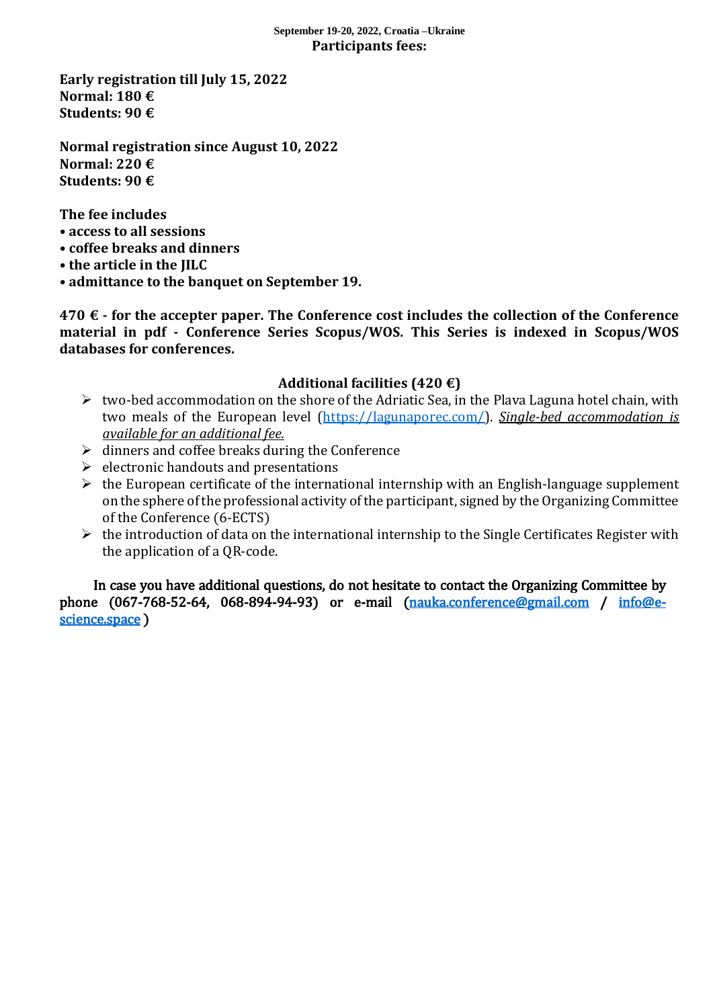### **September 19-20, 2022, Croatia –Ukraine Participants fees:**

**Early registration till July 15, 2022 Normal: 180 € Students: 90 €**

**Normal registration since August 10, 2022 Normal: 220 € Students: 90 €**

**The fee includes**

- **access to all sessions**
- **coffee breaks and dinners**
- **the article in the JILC**
- **admittance to the banquet on September 19.**

**470 € - for the accepter paper. The Conference cost includes the collection of the Conference material in pdf - Conference Series Scopus/WOS. This Series is indexed in Scopus/WOS databases for conferences.**

# **Additional facilities (420 €)**

- $\triangleright$  two-bed accommodation on the shore of the Adriatic Sea, in the Plava Laguna hotel chain, with two meals of the European level [\(https://lagunaporec.com/\)](https://lagunaporec.com/). *Single-bed accommodation is available for an additional fee.*
- $\triangleright$  dinners and coffee breaks during the Conference
- $\triangleright$  electronic handouts and presentations
- $\triangleright$  the European certificate of the international internship with an English-language supplement on the sphere of the professional activity of the participant, signed by the Organizing Committee of the Conference (6-ECTS)
- ➢ the introduction of data on the international internship to the Single Certificates Register with the application of a QR-code.

In case you have additional questions, do not hesitate to contact the Organizing Committee by phone (067-768-52-64, 068-894-94-93) or e-mail [\(nauka.conference@gmail.com](mailto:nauka.conference@gmail.com) / [info@e](mailto:info@e-science.space)[science.space](mailto:info@e-science.space) )